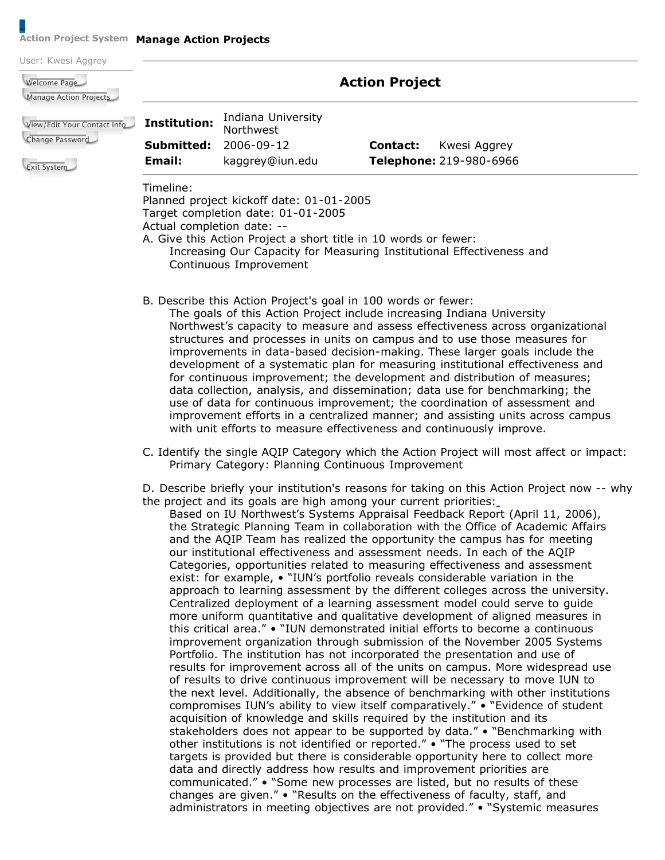## **Action Project System Manage Action Projects**

| User: Kwesi Aggrey                             |                       |                                                                                |          |                         |  |
|------------------------------------------------|-----------------------|--------------------------------------------------------------------------------|----------|-------------------------|--|
| Welcome Page<br>Manage Action Projects         | <b>Action Project</b> |                                                                                |          |                         |  |
| View/Edit Your Contact Info<br>Change Password | <b>Institution:</b>   | Indiana University<br><b>Northwest</b>                                         |          |                         |  |
|                                                | Submitted:            | 2006-09-12                                                                     | Contact: | Kwesi Aggrey            |  |
| <b>Exit System</b>                             | Email:                | kaggrey@iun.edu                                                                |          | Telephone: 219-980-6966 |  |
|                                                | Timeline:             | Planned project kickoff date: 01-01-2005<br>Target completion date: 01-01-2005 |          |                         |  |

Actual completion date: --

 A. Give this Action Project a short title in 10 words or fewer: Increasing Our Capacity for Measuring Institutional Effectiveness and Continuous Improvement

B. Describe this Action Project's goal in 100 words or fewer:

 The goals of this Action Project include increasing Indiana University Northwest's capacity to measure and assess effectiveness across organizational structures and processes in units on campus and to use those measures for improvements in data-based decision-making. These larger goals include the development of a systematic plan for measuring institutional effectiveness and for continuous improvement; the development and distribution of measures; data collection, analysis, and dissemination; data use for benchmarking; the use of data for continuous improvement; the coordination of assessment and improvement efforts in a centralized manner; and assisting units across campus with unit efforts to measure effectiveness and continuously improve.

 C. Identify the single AQIP Category which the Action Project will most affect or impact: Primary Category: Planning Continuous Improvement

 D. Describe briefly your institution's reasons for taking on this Action Project now -- why the project and its goals are high among your current priorities:

 Based on IU Northwest's Systems Appraisal Feedback Report (April 11, 2006), the Strategic Planning Team in collaboration with the Office of Academic Affairs and the AQIP Team has realized the opportunity the campus has for meeting our institutional effectiveness and assessment needs. In each of the AQIP Categories, opportunities related to measuring effectiveness and assessment exist: for example, • "IUN's portfolio reveals considerable variation in the approach to learning assessment by the different colleges across the university. Centralized deployment of a learning assessment model could serve to guide more uniform quantitative and qualitative development of aligned measures in this critical area." • "IUN demonstrated initial efforts to become a continuous improvement organization through submission of the November 2005 Systems Portfolio. The institution has not incorporated the presentation and use of results for improvement across all of the units on campus. More widespread use of results to drive continuous improvement will be necessary to move IUN to the next level. Additionally, the absence of benchmarking with other institutions compromises IUN's ability to view itself comparatively." • "Evidence of student acquisition of knowledge and skills required by the institution and its stakeholders does not appear to be supported by data." • "Benchmarking with other institutions is not identified or reported." • "The process used to set targets is provided but there is considerable opportunity here to collect more data and directly address how results and improvement priorities are communicated." • "Some new processes are listed, but no results of these changes are given." • "Results on the effectiveness of faculty, staff, and administrators in meeting objectives are not provided." • "Systemic measures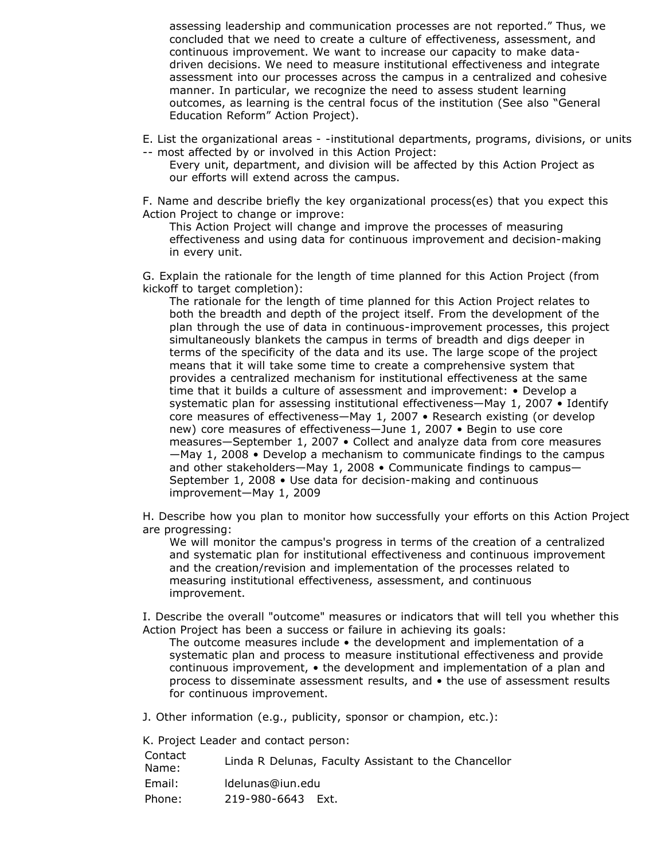assessing leadership and communication processes are not reported." Thus, we concluded that we need to create a culture of effectiveness, assessment, and continuous improvement. We want to increase our capacity to make data- driven decisions. We need to measure institutional effectiveness and integrate assessment into our processes across the campus in a centralized and cohesive manner. In particular, we recognize the need to assess student learning outcomes, as learning is the central focus of the institution (See also "General Education Reform" Action Project).

 E. List the organizational areas - -institutional departments, programs, divisions, or units -- most affected by or involved in this Action Project:

 Every unit, department, and division will be affected by this Action Project as our efforts will extend across the campus.

 F. Name and describe briefly the key organizational process(es) that you expect this Action Project to change or improve:

 This Action Project will change and improve the processes of measuring effectiveness and using data for continuous improvement and decision-making in every unit.

 G. Explain the rationale for the length of time planned for this Action Project (from kickoff to target completion):

 The rationale for the length of time planned for this Action Project relates to both the breadth and depth of the project itself. From the development of the plan through the use of data in continuous-improvement processes, this project simultaneously blankets the campus in terms of breadth and digs deeper in terms of the specificity of the data and its use. The large scope of the project means that it will take some time to create a comprehensive system that provides a centralized mechanism for institutional effectiveness at the same time that it builds a culture of assessment and improvement: • Develop a systematic plan for assessing institutional effectiveness—May 1, 2007 • Identify core measures of effectiveness—May 1, 2007 • Research existing (or develop new) core measures of effectiveness—June 1, 2007 • Begin to use core measures—September 1, 2007 • Collect and analyze data from core measures —May 1, 2008 • Develop a mechanism to communicate findings to the campus and other stakeholders—May 1, 2008 • Communicate findings to campus— September 1, 2008 • Use data for decision-making and continuous improvement—May 1, 2009

 H. Describe how you plan to monitor how successfully your efforts on this Action Project are progressing:

 We will monitor the campus's progress in terms of the creation of a centralized and systematic plan for institutional effectiveness and continuous improvement and the creation/revision and implementation of the processes related to measuring institutional effectiveness, assessment, and continuous improvement.

 I. Describe the overall "outcome" measures or indicators that will tell you whether this Action Project has been a success or failure in achieving its goals:

 The outcome measures include • the development and implementation of a systematic plan and process to measure institutional effectiveness and provide continuous improvement, • the development and implementation of a plan and process to disseminate assessment results, and • the use of assessment results for continuous improvement.

J. Other information (e.g., publicity, sponsor or champion, etc.):

K. Project Leader and contact person:

| Contact<br>Name: | Linda R Delunas, Faculty Assistant to the Chancellor |
|------------------|------------------------------------------------------|
| Email:           | Idelunas@iun.edu                                     |
| Phone:           | 219-980-6643 Ext.                                    |